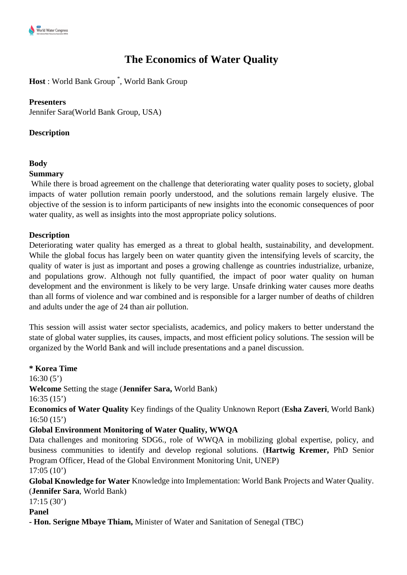# **The Economics of Water Quality**

**Host** : World Bank Group \* , World Bank Group

## **Presenters**

Jennifer Sara(World Bank Group, USA)

## **Description**

#### **Body**

#### **Summary**

While there is broad agreement on the challenge that deteriorating water quality poses to society, global impacts of water pollution remain poorly understood, and the solutions remain largely elusive. The objective of the session is to inform participants of new insights into the economic consequences of poor water quality, as well as insights into the most appropriate policy solutions.

# **Description**

Deteriorating water quality has emerged as a threat to global health, sustainability, and development. While the global focus has largely been on water quantity given the intensifying levels of scarcity, the quality of water is just as important and poses a growing challenge as countries industrialize, urbanize, and populations grow. Although not fully quantified, the impact of poor water quality on human development and the environment is likely to be very large. Unsafe drinking water causes more deaths than all forms of violence and war combined and is responsible for a larger number of deaths of children and adults under the age of 24 than air pollution.

This session will assist water sector specialists, academics, and policy makers to better understand the state of global water supplies, its causes, impacts, and most efficient policy solutions. The session will be organized by the World Bank and will include presentations and a panel discussion.

**\* Korea Time** 

 $16:30(5')$ 

**Welcome** Setting the stage (**Jennifer Sara,** World Bank)

16:35 (15')

**Economics of Water Quality** Key findings of the Quality Unknown Report (**Esha Zaveri**, World Bank) 16:50 (15')

# **Global Environment Monitoring of Water Quality, WWQA**

Data challenges and monitoring SDG6., role of WWQA in mobilizing global expertise, policy, and business communities to identify and develop regional solutions. (**Hartwig Kremer,** PhD Senior Program Officer, Head of the Global Environment Monitoring Unit, UNEP)

17:05 (10')

**Global Knowledge for Water** Knowledge into Implementation: World Bank Projects and Water Quality. (**Jennifer Sara**, World Bank)

17:15 (30')

**Panel**

**- Hon. Serigne Mbaye Thiam,** Minister of Water and Sanitation of Senegal (TBC)